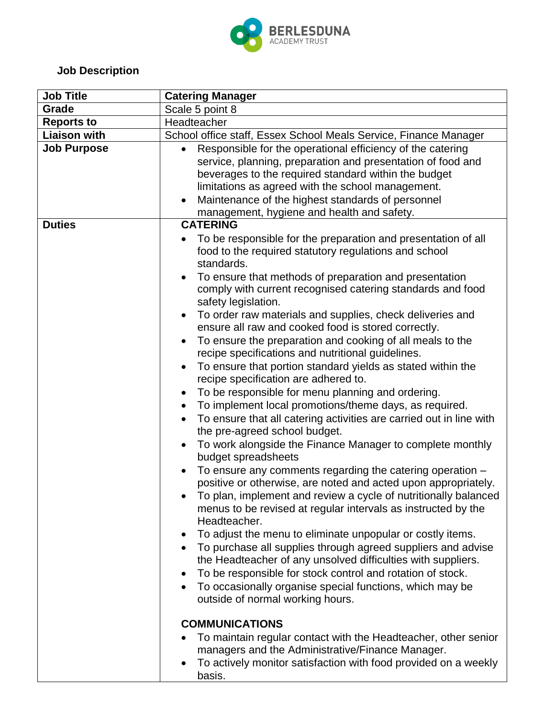

## **Job Description**

| Grade<br>Scale 5 point 8<br><b>Reports to</b><br>Headteacher<br><b>Liaison with</b><br>School office staff, Essex School Meals Service, Finance Manager<br><b>Job Purpose</b><br>Responsible for the operational efficiency of the catering<br>service, planning, preparation and presentation of food and<br>beverages to the required standard within the budget<br>limitations as agreed with the school management.<br>Maintenance of the highest standards of personnel<br>management, hygiene and health and safety.<br><b>CATERING</b><br><b>Duties</b><br>To be responsible for the preparation and presentation of all<br>food to the required statutory regulations and school<br>standards.<br>To ensure that methods of preparation and presentation<br>comply with current recognised catering standards and food                                                                                                                                                                                                                                                                                                                                                                                                                                                                                                                                                                                                                                                                                                                            |  |
|-----------------------------------------------------------------------------------------------------------------------------------------------------------------------------------------------------------------------------------------------------------------------------------------------------------------------------------------------------------------------------------------------------------------------------------------------------------------------------------------------------------------------------------------------------------------------------------------------------------------------------------------------------------------------------------------------------------------------------------------------------------------------------------------------------------------------------------------------------------------------------------------------------------------------------------------------------------------------------------------------------------------------------------------------------------------------------------------------------------------------------------------------------------------------------------------------------------------------------------------------------------------------------------------------------------------------------------------------------------------------------------------------------------------------------------------------------------------------------------------------------------------------------------------------------------|--|
|                                                                                                                                                                                                                                                                                                                                                                                                                                                                                                                                                                                                                                                                                                                                                                                                                                                                                                                                                                                                                                                                                                                                                                                                                                                                                                                                                                                                                                                                                                                                                           |  |
|                                                                                                                                                                                                                                                                                                                                                                                                                                                                                                                                                                                                                                                                                                                                                                                                                                                                                                                                                                                                                                                                                                                                                                                                                                                                                                                                                                                                                                                                                                                                                           |  |
|                                                                                                                                                                                                                                                                                                                                                                                                                                                                                                                                                                                                                                                                                                                                                                                                                                                                                                                                                                                                                                                                                                                                                                                                                                                                                                                                                                                                                                                                                                                                                           |  |
|                                                                                                                                                                                                                                                                                                                                                                                                                                                                                                                                                                                                                                                                                                                                                                                                                                                                                                                                                                                                                                                                                                                                                                                                                                                                                                                                                                                                                                                                                                                                                           |  |
|                                                                                                                                                                                                                                                                                                                                                                                                                                                                                                                                                                                                                                                                                                                                                                                                                                                                                                                                                                                                                                                                                                                                                                                                                                                                                                                                                                                                                                                                                                                                                           |  |
| safety legislation.<br>To order raw materials and supplies, check deliveries and<br>ensure all raw and cooked food is stored correctly.<br>To ensure the preparation and cooking of all meals to the<br>recipe specifications and nutritional guidelines.<br>To ensure that portion standard yields as stated within the<br>recipe specification are adhered to.<br>To be responsible for menu planning and ordering.<br>To implement local promotions/theme days, as required.<br>To ensure that all catering activities are carried out in line with<br>$\bullet$<br>the pre-agreed school budget.<br>To work alongside the Finance Manager to complete monthly<br>budget spreadsheets<br>To ensure any comments regarding the catering operation -<br>positive or otherwise, are noted and acted upon appropriately.<br>To plan, implement and review a cycle of nutritionally balanced<br>menus to be revised at regular intervals as instructed by the<br>Headteacher.<br>To adjust the menu to eliminate unpopular or costly items.<br>To purchase all supplies through agreed suppliers and advise<br>the Headteacher of any unsolved difficulties with suppliers.<br>To be responsible for stock control and rotation of stock.<br>To occasionally organise special functions, which may be<br>outside of normal working hours.<br><b>COMMUNICATIONS</b><br>To maintain regular contact with the Headteacher, other senior<br>managers and the Administrative/Finance Manager.<br>To actively monitor satisfaction with food provided on a weekly |  |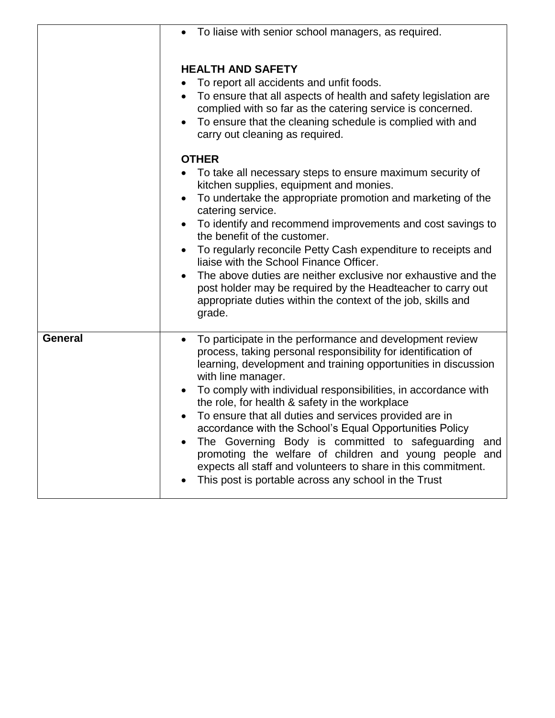|         | To liaise with senior school managers, as required.                                                                                                                                                                                                                                                                                                                                                                                                                                                                                                                                                                                                                                                    |  |  |
|---------|--------------------------------------------------------------------------------------------------------------------------------------------------------------------------------------------------------------------------------------------------------------------------------------------------------------------------------------------------------------------------------------------------------------------------------------------------------------------------------------------------------------------------------------------------------------------------------------------------------------------------------------------------------------------------------------------------------|--|--|
|         | <b>HEALTH AND SAFETY</b><br>To report all accidents and unfit foods.<br>• To ensure that all aspects of health and safety legislation are<br>complied with so far as the catering service is concerned.<br>• To ensure that the cleaning schedule is complied with and<br>carry out cleaning as required.<br><b>OTHER</b>                                                                                                                                                                                                                                                                                                                                                                              |  |  |
|         | • To take all necessary steps to ensure maximum security of<br>kitchen supplies, equipment and monies.<br>• To undertake the appropriate promotion and marketing of the<br>catering service.<br>• To identify and recommend improvements and cost savings to<br>the benefit of the customer.<br>• To regularly reconcile Petty Cash expenditure to receipts and<br>liaise with the School Finance Officer.<br>• The above duties are neither exclusive nor exhaustive and the<br>post holder may be required by the Headteacher to carry out<br>appropriate duties within the context of the job, skills and                                                                                           |  |  |
|         | grade.                                                                                                                                                                                                                                                                                                                                                                                                                                                                                                                                                                                                                                                                                                 |  |  |
| General | To participate in the performance and development review<br>process, taking personal responsibility for identification of<br>learning, development and training opportunities in discussion<br>with line manager.<br>• To comply with individual responsibilities, in accordance with<br>the role, for health & safety in the workplace<br>To ensure that all duties and services provided are in<br>accordance with the School's Equal Opportunities Policy<br>The Governing Body is committed to safeguarding and<br>promoting the welfare of children and young people and<br>expects all staff and volunteers to share in this commitment.<br>This post is portable across any school in the Trust |  |  |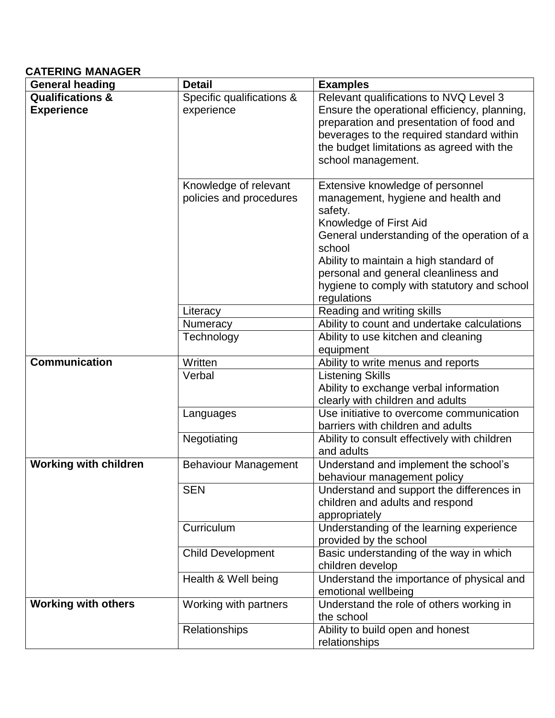## **CATERING MANAGER**

| <b>General heading</b>                           | <b>Detail</b>                                    | <b>Examples</b>                                                                                                                                                                                                                                                                                                      |
|--------------------------------------------------|--------------------------------------------------|----------------------------------------------------------------------------------------------------------------------------------------------------------------------------------------------------------------------------------------------------------------------------------------------------------------------|
| <b>Qualifications &amp;</b><br><b>Experience</b> | Specific qualifications &<br>experience          | Relevant qualifications to NVQ Level 3<br>Ensure the operational efficiency, planning,<br>preparation and presentation of food and<br>beverages to the required standard within<br>the budget limitations as agreed with the<br>school management.                                                                   |
|                                                  | Knowledge of relevant<br>policies and procedures | Extensive knowledge of personnel<br>management, hygiene and health and<br>safety.<br>Knowledge of First Aid<br>General understanding of the operation of a<br>school<br>Ability to maintain a high standard of<br>personal and general cleanliness and<br>hygiene to comply with statutory and school<br>regulations |
|                                                  | Literacy                                         | Reading and writing skills                                                                                                                                                                                                                                                                                           |
|                                                  | Numeracy                                         | Ability to count and undertake calculations                                                                                                                                                                                                                                                                          |
|                                                  | Technology                                       | Ability to use kitchen and cleaning                                                                                                                                                                                                                                                                                  |
|                                                  |                                                  | equipment                                                                                                                                                                                                                                                                                                            |
| <b>Communication</b>                             | Written                                          | Ability to write menus and reports                                                                                                                                                                                                                                                                                   |
|                                                  | Verbal                                           | <b>Listening Skills</b><br>Ability to exchange verbal information<br>clearly with children and adults                                                                                                                                                                                                                |
|                                                  | Languages                                        | Use initiative to overcome communication<br>barriers with children and adults                                                                                                                                                                                                                                        |
|                                                  | Negotiating                                      | Ability to consult effectively with children<br>and adults                                                                                                                                                                                                                                                           |
| <b>Working with children</b>                     | <b>Behaviour Management</b>                      | Understand and implement the school's<br>behaviour management policy                                                                                                                                                                                                                                                 |
|                                                  | <b>SEN</b>                                       | Understand and support the differences in<br>children and adults and respond<br>appropriately                                                                                                                                                                                                                        |
|                                                  | Curriculum                                       | Understanding of the learning experience<br>provided by the school                                                                                                                                                                                                                                                   |
|                                                  | <b>Child Development</b>                         | Basic understanding of the way in which<br>children develop                                                                                                                                                                                                                                                          |
|                                                  | Health & Well being                              | Understand the importance of physical and<br>emotional wellbeing                                                                                                                                                                                                                                                     |
| <b>Working with others</b>                       | Working with partners                            | Understand the role of others working in<br>the school                                                                                                                                                                                                                                                               |
|                                                  | Relationships                                    | Ability to build open and honest<br>relationships                                                                                                                                                                                                                                                                    |